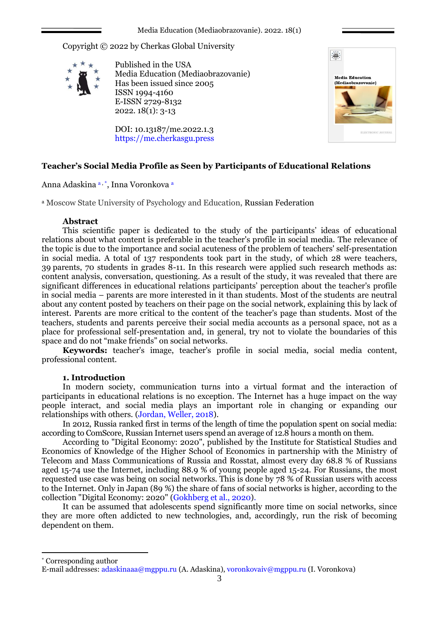Media Education (Mediaobrazovanie). 2022. 18(1)

Copyright © 2022 by Cherkas Global University



Published in the USA Media Education (Mediaobrazovanie) Has been issued since 2005 ISSN 1994-4160 E-ISSN 2729-8132 2022. 18(1): 3-13

DOI: 10.13187/me.2022.1.3 https://me.cherkasgu.press



# **Teacher's Social Media Profile as Seen by Participants of Educational Relations**

Anna Adaskina a , \* , Inna Voronkova <sup>a</sup>

<sup>a</sup> Moscow State University of Psychology and Education, Russian Federation

## **Abstract**

This scientific paper is dedicated to the study of the participants' ideas of educational relations about what content is preferable in the teacher's profile in social media. The relevance of the topic is due to the importance and social acuteness of the problem of teachers' self-presentation in social media. A total of 137 respondents took part in the study, of which 28 were teachers, 39 parents, 70 students in grades 8-11. In this research were applied such research methods as: content analysis, conversation, questioning. As a result of the study, it was revealed that there are significant differences in educational relations participants' perception about the teacher's profile in social media – parents are more interested in it than students. Most of the students are neutral about any content posted by teachers on their page on the social network, explaining this by lack of interest. Parents are more critical to the content of the teacher's page than students. Most of the teachers, students and parents perceive their social media accounts as a personal space, not as a place for professional self-presentation and, in general, try not to violate the boundaries of this space and do not "make friends" on social networks.

**Keywords:** teacher's image, teacher's profile in social media, social media content, professional content.

## **1. Introduction**

In modern society, communication turns into a virtual format and the interaction of participants in educational relations is no exception. The Internet has a huge impact on the way people interact, and social media plays an important role in changing or expanding our relationships with others. (Jordan, Weller, 2018).

In 2012, Russia ranked first in terms of the length of time the population spent on social media: according to ComScore, Russian Internet users spend an average of 12.8 hours a month on them.

According to "Digital Economy: 2020", published by the Institute for Statistical Studies and Economics of Knowledge of the Higher School of Economics in partnership with the Ministry of Telecom and Mass Communications of Russia and Rosstat, almost every day 68.8 % of Russians aged 15-74 use the Internet, including 88.9 % of young people aged 15-24. For Russians, the most requested use case was being on social networks. This is done by 78 % of Russian users with access to the Internet. Only in Japan (89 %) the share of fans of social networks is higher, according to the collection "Digital Economy: 2020" (Gokhberg et al., 2020).

It can be assumed that adolescents spend significantly more time on social networks, since they are more often addicted to new technologies, and, accordingly, run the risk of becoming dependent on them.

\* Corresponding author

1

E-mail addresses: adaskinaaa@mgppu.ru (A. Adaskina), voronkovaiv@mgppu.ru (I. Voronkova)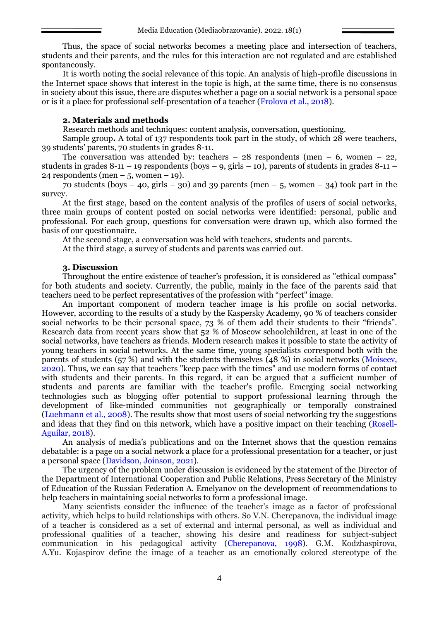Thus, the space of social networks becomes a meeting place and intersection of teachers, students and their parents, and the rules for this interaction are not regulated and are established spontaneously.

It is worth noting the social relevance of this topic. An analysis of high-profile discussions in the Internet space shows that interest in the topic is high, at the same time, there is no consensus in society about this issue, there are disputes whether a page on a social network is a personal space or is it a place for professional self-presentation of a teacher (Frolova et al., 2018).

## **2. Materials and methods**

Research methods and techniques: content analysis, conversation, questioning.

Sample group**.** A total of 137 respondents took part in the study, of which 28 were teachers, 39 students' parents, 70 students in grades 8-11.

The conversation was attended by: teachers  $-28$  respondents (men  $-6$ , women  $-22$ , students in grades 8-11 – 19 respondents (boys – 9, girls – 10), parents of students in grades 8-11 – 24 respondents (men – 5, women – 19).

70 students (boys – 40, girls – 30) and 39 parents (men – 5, women – 34) took part in the survey.

At the first stage, based on the content analysis of the profiles of users of social networks, three main groups of content posted on social networks were identified: personal, public and professional. For each group, questions for conversation were drawn up, which also formed the basis of our questionnaire.

At the second stage, a conversation was held with teachers, students and parents.

At the third stage, a survey of students and parents was carried out.

### **3. Discussion**

Throughout the entire existence of teacher's profession, it is considered as "ethical compass" for both students and society. Currently, the public, mainly in the face of the parents said that teachers need to be perfect representatives of the profession with "perfect" image.

An important component of modern teacher image is his profile on social networks. However, according to the results of a study by the Kaspersky Academy, 90 % of teachers consider social networks to be their personal space, 73 % of them add their students to their "friends". Research data from recent years show that 52 % of Moscow schoolchildren, at least in one of the social networks, have teachers as friends. Modern research makes it possible to state the activity of young teachers in social networks. At the same time, young specialists correspond both with the parents of students (57 %) and with the students themselves (48 %) in social networks (Moiseev, 2020). Thus, we can say that teachers "keep pace with the times" and use modern forms of contact with students and their parents. In this regard, it can be argued that a sufficient number of students and parents are familiar with the teacher's profile. Emerging social networking technologies such as blogging offer potential to support professional learning through the development of like-minded communities not geographically or temporally constrained (Luehmann et al., 2008). The results show that most users of social networking try the suggestions and ideas that they find on this network, which have a positive impact on their teaching (Rosell-Aguilar, 2018).

An analysis of media's publications and on the Internet shows that the question remains debatable: is a page on a social network a place for a professional presentation for a teacher, or just a personal space (Davidson, Joinson, 2021).

The urgency of the problem under discussion is evidenced by the statement of the Director of the Department of International Cooperation and Public Relations, Press Secretary of the Ministry of Education of the Russian Federation A. Emelyanov on the development of recommendations to help teachers in maintaining social networks to form a professional image.

Many scientists consider the influence of the teacher's image as a factor of professional activity, which helps to build relationships with others. So V.N. Cherepanova, the individual image of a teacher is considered as a set of external and internal personal, as well as individual and professional qualities of a teacher, showing his desire and readiness for subject-subject communication in his pedagogical activity (Cherepanova, 1998). G.M. Kodzhaspirova, A.Yu. Kojaspirov define the image of a teacher as an emotionally colored stereotype of the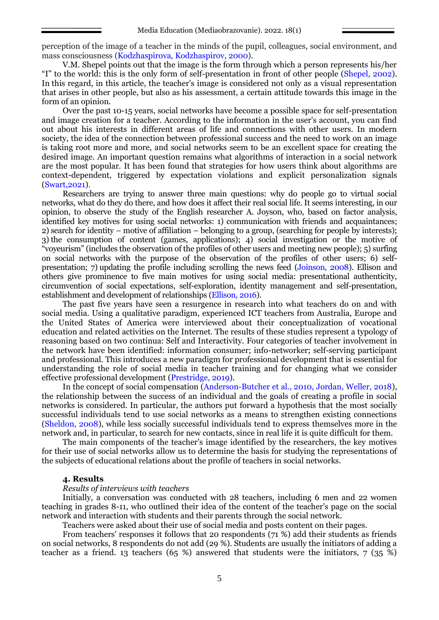perception of the image of a teacher in the minds of the pupil, colleagues, social environment, and mass consciousness (Kodzhaspirova, Kodzhaspirov, 2000).

V.M. Shepel points out that the image is the form through which a person represents his/her "I" to the world: this is the only form of self-presentation in front of other people (Shepel, 2002). In this regard, in this article, the teacher's image is considered not only as a visual representation that arises in other people, but also as his assessment, a certain attitude towards this image in the form of an opinion.

Over the past 10-15 years, social networks have become a possible space for self-presentation and image creation for a teacher. According to the information in the user's account, you can find out about his interests in different areas of life and connections with other users. In modern society, the idea of the connection between professional success and the need to work on an image is taking root more and more, and social networks seem to be an excellent space for creating the desired image. An important question remains what algorithms of interaction in a social network are the most popular. It has been found that strategies for how users think about algorithms are context-dependent, triggered by expectation violations and explicit personalization signals (Swart,2021).

Researchers are trying to answer three main questions: why do people go to virtual social networks, what do they do there, and how does it affect their real social life. It seems interesting, in our opinion, to observe the study of the English researcher A. Joyson, who, based on factor analysis, identified key motives for using social networks: 1) communication with friends and acquaintances; 2) search for identity – motive of affiliation – belonging to a group, (searching for people by interests); 3) the consumption of content (games, applications); 4) social investigation or the motive of "voyeurism" (includes the observation of the profiles of other users and meeting new people); 5) surfing on social networks with the purpose of the observation of the profiles of other users; 6) selfpresentation; 7) updating the profile including scrolling the news feed (Joinson, 2008). Ellison and others give prominence to five main motives for using social media: presentational authenticity, circumvention of social expectations, self-exploration, identity management and self-presentation, establishment and development of relationships (Ellison, 2016).

The past five years have seen a resurgence in research into what teachers do on and with social media. Using a qualitative paradigm, experienced ICT teachers from Australia, Europe and the United States of America were interviewed about their conceptualization of vocational education and related activities on the Internet. The results of these studies represent a typology of reasoning based on two continua: Self and Interactivity. Four categories of teacher involvement in the network have been identified: information consumer; info-networker; self-serving participant and professional. This introduces a new paradigm for professional development that is essential for understanding the role of social media in teacher training and for changing what we consider effective professional development [\(Prestridge,](https://www.sciencedirect.com/science/article/abs/pii/S0360131518303002#!) 2019).

In the concept of social compensation (Anderson-Butcher et al., 2010, Jordan, Weller, 2018), the relationship between the success of an individual and the goals of creating a profile in social networks is considered. In particular, the authors put forward a hypothesis that the most socially successful individuals tend to use social networks as a means to strengthen existing connections (Sheldon, 2008), while less socially successful individuals tend to express themselves more in the network and, in particular, to search for new contacts, since in real life it is quite difficult for them.

The main components of the teacher's image identified by the researchers, the key motives for their use of social networks allow us to determine the basis for studying the representations of the subjects of educational relations about the profile of teachers in social networks.

#### **4. Results**

### *Results of interviews with teachers*

Initially, a conversation was conducted with 28 teachers, including 6 men and 22 women teaching in grades 8-11, who outlined their idea of the content of the teacher's page on the social network and interaction with students and their parents through the social network.

Teachers were asked about their use of social media and posts content on their pages.

From teachers' responses it follows that 20 respondents (71 %) add their students as friends on social networks, 8 respondents do not add (29 %). Students are usually the initiators of adding a teacher as a friend. 13 teachers (65 %) answered that students were the initiators, 7 (35 %)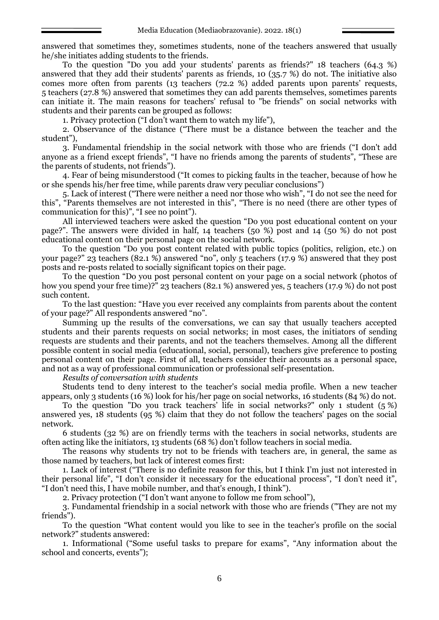answered that sometimes they, sometimes students, none of the teachers answered that usually he/she initiates adding students to the friends.

To the question "Do you add your students' parents as friends?" 18 teachers (64.3 %) answered that they add their students' parents as friends, 10 (35.7 %) do not. The initiative also comes more often from parents (13 teachers (72.2 %) added parents upon parents' requests, 5 teachers (27.8 %) answered that sometimes they can add parents themselves, sometimes parents can initiate it. The main reasons for teachers' refusal to "be friends" on social networks with students and their parents can be grouped as follows:

1. Privacy protection ("I don't want them to watch my life"),

2. Observance of the distance ("There must be a distance between the teacher and the student"),

3. Fundamental friendship in the social network with those who are friends ("I don't add anyone as a friend except friends", "I have no friends among the parents of students", "These are the parents of students, not friends").

4. Fear of being misunderstood ("It comes to picking faults in the teacher, because of how he or she spends his/her free time, while parents draw very peculiar conclusions")

5. Lack of interest ("There were neither a need nor those who wish", "I do not see the need for this", "Parents themselves are not interested in this", "There is no need (there are other types of communication for this)", "I see no point").

All interviewed teachers were asked the question "Do you post educational content on your page?". The answers were divided in half, 14 teachers (50 %) post and 14 (50 %) do not post educational content on their personal page on the social network.

To the question "Do you post content related with public topics (politics, religion, etc.) on your page?" 23 teachers (82.1 %) answered "no", only 5 teachers (17.9 %) answered that they post posts and re-posts related to socially significant topics on their page.

To the question "Do you post personal content on your page on a social network (photos of how you spend your free time)?" 23 teachers (82.1 %) answered yes, 5 teachers (17.9 %) do not post such content.

To the last question: "Have you ever received any complaints from parents about the content of your page?" All respondents answered "no".

Summing up the results of the conversations, we can say that usually teachers accepted students and their parents requests on social networks; in most cases, the initiators of sending requests are students and their parents, and not the teachers themselves. Among all the different possible content in social media (educational, social, personal), teachers give preference to posting personal content on their page. First of all, teachers consider their accounts as a personal space, and not as a way of professional communication or professional self-presentation.

*Results of conversation with students*

Students tend to deny interest to the teacher's social media profile. When a new teacher appears, only 3 students (16 %) look for his/her page on social networks, 16 students (84 %) do not.

To the question "Do you track teachers' life in social networks?" only 1 student (5 %) answered yes, 18 students (95 %) claim that they do not follow the teachers' pages on the social network.

6 students (32 %) are on friendly terms with the teachers in social networks, students are often acting like the initiators, 13 students (68 %) don't follow teachers in social media.

The reasons why students try not to be friends with teachers are, in general, the same as those named by teachers, but lack of interest comes first:

1. Lack of interest ("There is no definite reason for this, but I think I'm just not interested in their personal life", "I don't consider it necessary for the educational process", "I don't need it", "I don't need this, I have mobile number, and that's enough, I think").

2. Privacy protection ("I don't want anyone to follow me from school"),

3. Fundamental friendship in a social network with those who are friends ("They are not my friends").

To the question "What content would you like to see in the teacher's profile on the social network?" students answered:

1. Informational ("Some useful tasks to prepare for exams", "Any information about the school and concerts, events");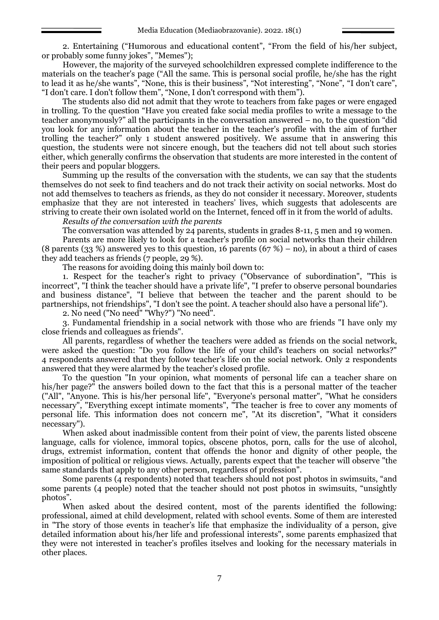2. Entertaining ("Humorous and educational content", "From the field of his/her subject, or probably some funny jokes", "Memes");

However, the majority of the surveyed schoolchildren expressed complete indifference to the materials on the teacher's page ("All the same. This is personal social profile, he/she has the right to lead it as he/she wants", "None, this is their business", "Not interesting", "None", "I don't care", "I don't care. I don't follow them", "None, I don't correspond with them").

The students also did not admit that they wrote to teachers from fake pages or were engaged in trolling. To the question "Have you created fake social media profiles to write a message to the teacher anonymously?" all the participants in the conversation answered – no, to the question "did you look for any information about the teacher in the teacher's profile with the aim of further trolling the teacher?" only 1 student answered positively. We assume that in answering this question, the students were not sincere enough, but the teachers did not tell about such stories either, which generally confirms the observation that students are more interested in the content of their peers and popular bloggers.

Summing up the results of the conversation with the students, we can say that the students themselves do not seek to find teachers and do not track their activity on social networks. Most do not add themselves to teachers as friends, as they do not consider it necessary. Moreover, students emphasize that they are not interested in teachers' lives, which suggests that adolescents are striving to create their own isolated world on the Internet, fenced off in it from the world of adults.

*Results of the conversation with the parents*

The conversation was attended by 24 parents, students in grades 8-11, 5 men and 19 women.

Parents are more likely to look for a teacher's profile on social networks than their children (8 parents (33 %) answered yes to this question, 16 parents (67 %) – no), in about a third of cases they add teachers as friends (7 people, 29 %).

The reasons for avoiding doing this mainly boil down to:

1. Respect for the teacher's right to privacy ("Observance of subordination", "This is incorrect", "I think the teacher should have a private life", "I prefer to observe personal boundaries and business distance", "I believe that between the teacher and the parent should to be partnerships, not friendships", "I don't see the point. A teacher should also have a personal life").

2. No need ("No need" "Why?") "No need".

3. Fundamental friendship in a social network with those who are friends "I have only my close friends and colleagues as friends".

All parents, regardless of whether the teachers were added as friends on the social network, were asked the question: "Do you follow the life of your child's teachers on social networks?" 4 respondents answered that they follow teacher's life on the social network. Only 2 respondents answered that they were alarmed by the teacher's closed profile.

To the question "In your opinion, what moments of personal life can a teacher share on his/her page?" the answers boiled down to the fact that this is a personal matter of the teacher ("All", "Anyone. This is his/her personal life", "Everyone's personal matter", "What he considers necessary", "Everything except intimate moments", "The teacher is free to cover any moments of personal life. This information does not concern me", "At its discretion", "What it considers necessary").

When asked about inadmissible content from their point of view, the parents listed obscene language, calls for violence, immoral topics, obscene photos, porn, calls for the use of alcohol, drugs, extremist information, content that offends the honor and dignity of other people, the imposition of political or religious views. Actually, parents expect that the teacher will observe "the same standards that apply to any other person, regardless of profession".

Some parents (4 respondents) noted that teachers should not post photos in swimsuits, "and some parents (4 people) noted that the teacher should not post photos in swimsuits, "unsightly photos".

When asked about the desired content, most of the parents identified the following: professional, aimed at child development, related with school events. Some of them are interested in "The story of those events in teacher's life that emphasize the individuality of a person, give detailed information about his/her life and professional interests", some parents emphasized that they were not interested in teacher's profiles itselves and looking for the necessary materials in other places.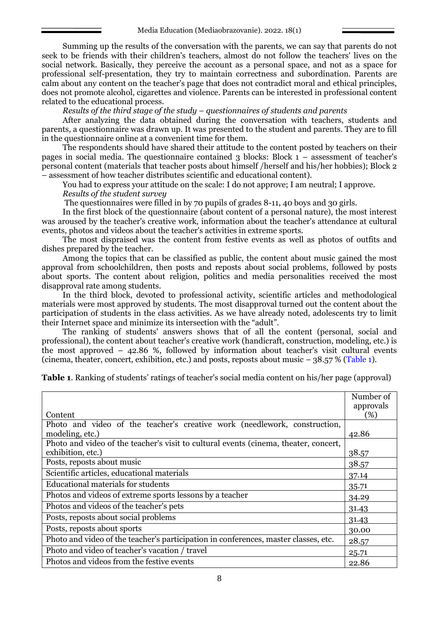Summing up the results of the conversation with the parents, we can say that parents do not seek to be friends with their children's teachers, almost do not follow the teachers' lives on the social network. Basically, they perceive the account as a personal space, and not as a space for professional self-presentation, they try to maintain correctness and subordination. Parents are calm about any content on the teacher's page that does not contradict moral and ethical principles, does not promote alcohol, cigarettes and violence. Parents can be interested in professional content related to the educational process.

*Results of the third stage of the study* – *questionnaires of students and parents*

After analyzing the data obtained during the conversation with teachers, students and parents, a questionnaire was drawn up. It was presented to the student and parents. They are to fill in the questionnaire online at a convenient time for them.

The respondents should have shared their attitude to the content posted by teachers on their pages in social media. The questionnaire contained 3 blocks: Block  $1 -$  assessment of teacher's personal content (materials that teacher posts about himself /herself and his/her hobbies); Block 2 – assessment of how teacher distributes scientific and educational content).

You had to express your attitude on the scale: I do not approve; I am neutral; I approve.

*Results of the student survey*

The questionnaires were filled in by 70 pupils of grades 8-11, 40 boys and 30 girls.

In the first block of the questionnaire (about content of a personal nature), the most interest was aroused by the teacher's creative work, information about the teacher's attendance at cultural events, photos and videos about the teacher's activities in extreme sports.

The most dispraised was the content from festive events as well as photos of outfits and dishes prepared by the teacher.

Among the topics that can be classified as public, the content about music gained the most approval from schoolchildren, then posts and reposts about social problems, followed by posts about sports. The content about religion, politics and media personalities received the most disapproval rate among students.

In the third block, devoted to professional activity, scientific articles and methodological materials were most approved by students. The most disapproval turned out the content about the participation of students in the class activities. As we have already noted, adolescents try to limit their Internet space and minimize its intersection with the "adult".

The ranking of students' answers shows that of all the content (personal, social and professional), the content about teacher's creative work (handicraft, construction, modeling, etc.) is the most approved – 42.86 %, followed by information about teacher's visit cultural events (cinema, theater, concert, exhibition, etc.) and posts, reposts about music – 38.57 % (Table 1).

**Table 1**. Ranking of students' ratings of teacher's social media content on his/her page (approval)

|                                                                                      | Number of |  |  |  |  |
|--------------------------------------------------------------------------------------|-----------|--|--|--|--|
|                                                                                      | approvals |  |  |  |  |
| Content                                                                              | (%)       |  |  |  |  |
| Photo and video of the teacher's creative work (needlework, construction,            |           |  |  |  |  |
| modeling, etc.)                                                                      | 42.86     |  |  |  |  |
| Photo and video of the teacher's visit to cultural events (cinema, theater, concert, |           |  |  |  |  |
| exhibition, etc.)                                                                    | 38.57     |  |  |  |  |
| Posts, reposts about music                                                           | 38.57     |  |  |  |  |
| Scientific articles, educational materials                                           | 37.14     |  |  |  |  |
| Educational materials for students                                                   | 35.71     |  |  |  |  |
| Photos and videos of extreme sports lessons by a teacher                             | 34.29     |  |  |  |  |
| Photos and videos of the teacher's pets                                              | 31.43     |  |  |  |  |
| Posts, reposts about social problems                                                 | 31.43     |  |  |  |  |
| Posts, reposts about sports                                                          | 30.00     |  |  |  |  |
| Photo and video of the teacher's participation in conferences, master classes, etc.  | 28.57     |  |  |  |  |
| Photo and video of teacher's vacation / travel                                       | 25.71     |  |  |  |  |
| Photos and videos from the festive events                                            | 22.86     |  |  |  |  |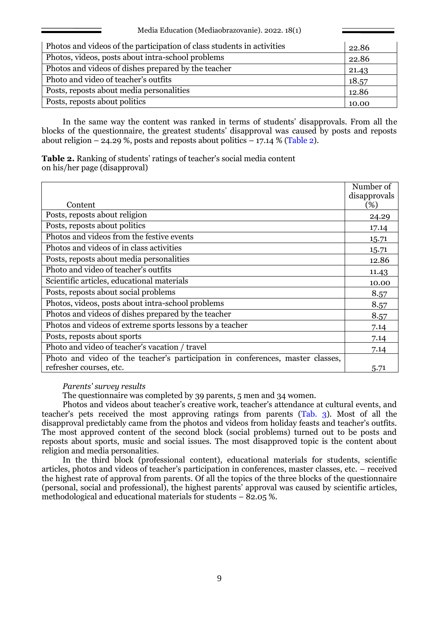| Photos and videos of the participation of class students in activities |       |  |  |  |  |
|------------------------------------------------------------------------|-------|--|--|--|--|
| Photos, videos, posts about intra-school problems                      | 22.86 |  |  |  |  |
| Photos and videos of dishes prepared by the teacher                    | 21.43 |  |  |  |  |
| Photo and video of teacher's outfits                                   | 18.57 |  |  |  |  |
| Posts, reposts about media personalities                               | 12.86 |  |  |  |  |
| Posts, reposts about politics                                          | 10.00 |  |  |  |  |

In the same way the content was ranked in terms of students' disapprovals. From all the blocks of the questionnaire, the greatest students' disapproval was caused by posts and reposts about religion  $-$  24.29 %, posts and reposts about politics  $-$  17.14 % (Table 2).

**Table 2.** Ranking of students' ratings of teacher's social media content on his/her page (disapproval)

|                                                                                | Number of    |
|--------------------------------------------------------------------------------|--------------|
|                                                                                | disapprovals |
| Content                                                                        | $(\%)$       |
| Posts, reposts about religion                                                  | 24.29        |
| Posts, reposts about politics                                                  | 17.14        |
| Photos and videos from the festive events                                      | 15.71        |
| Photos and videos of in class activities                                       | 15.71        |
| Posts, reposts about media personalities                                       | 12.86        |
| Photo and video of teacher's outfits                                           | 11.43        |
| Scientific articles, educational materials                                     | 10.00        |
| Posts, reposts about social problems                                           | 8.57         |
| Photos, videos, posts about intra-school problems                              | 8.57         |
| Photos and videos of dishes prepared by the teacher                            | 8.57         |
| Photos and videos of extreme sports lessons by a teacher                       | 7.14         |
| Posts, reposts about sports                                                    | 7.14         |
| Photo and video of teacher's vacation / travel                                 | 7.14         |
| Photo and video of the teacher's participation in conferences, master classes, |              |
| refresher courses, etc.                                                        | 5.71         |

*Parents' survey results*

The questionnaire was completed by 39 parents, 5 men and 34 women.

Photos and videos about teacher's creative work, teacher's attendance at cultural events, and teacher's pets received the most approving ratings from parents (Tab. 3). Most of all the disapproval predictably came from the photos and videos from holiday feasts and teacher's outfits. The most approved content of the second block (social problems) turned out to be posts and reposts about sports, music and social issues. The most disapproved topic is the content about religion and media personalities.

In the third block (professional content), educational materials for students, scientific articles, photos and videos of teacher's participation in conferences, master classes, etc. – received the highest rate of approval from parents. Of all the topics of the three blocks of the questionnaire (personal, social and professional), the highest parents' approval was caused by scientific articles, methodological and educational materials for students  $-$  82.05 %.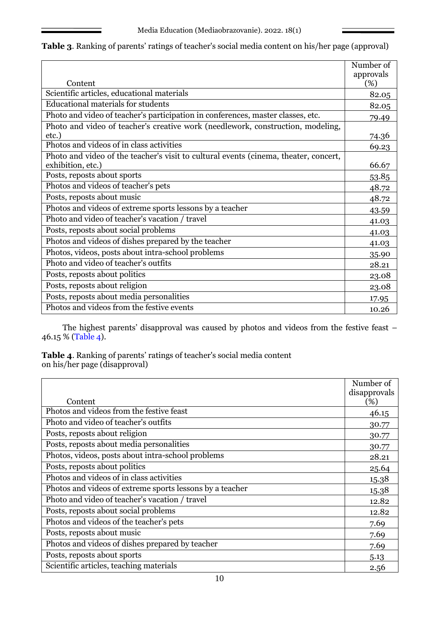|  |  | <b>Table 3.</b> Ranking of parents' ratings of teacher's social media content on his/her page (approval) |  |  |  |
|--|--|----------------------------------------------------------------------------------------------------------|--|--|--|
|  |  |                                                                                                          |  |  |  |

|                                                                                                           | Number of        |
|-----------------------------------------------------------------------------------------------------------|------------------|
| Content                                                                                                   | approvals<br>(%) |
| Scientific articles, educational materials                                                                | 82.05            |
| <b>Educational materials for students</b>                                                                 | 82.05            |
| Photo and video of teacher's participation in conferences, master classes, etc.                           | 79.49            |
| Photo and video of teacher's creative work (needlework, construction, modeling,<br>etc.)                  | 74.36            |
| Photos and videos of in class activities                                                                  | 69.23            |
| Photo and video of the teacher's visit to cultural events (cinema, theater, concert,<br>exhibition, etc.) | 66.67            |
| Posts, reposts about sports                                                                               | 53.85            |
| Photos and videos of teacher's pets                                                                       | 48.72            |
| Posts, reposts about music                                                                                | 48.72            |
| Photos and videos of extreme sports lessons by a teacher                                                  | 43.59            |
| Photo and video of teacher's vacation / travel                                                            | 41.03            |
| Posts, reposts about social problems                                                                      | 41.03            |
| Photos and videos of dishes prepared by the teacher                                                       | 41.03            |
| Photos, videos, posts about intra-school problems                                                         | 35.90            |
| Photo and video of teacher's outfits                                                                      | 28.21            |
| Posts, reposts about politics                                                                             | 23.08            |
| Posts, reposts about religion                                                                             | 23.08            |
| Posts, reposts about media personalities                                                                  | 17.95            |
| Photos and videos from the festive events                                                                 | 10.26            |

The highest parents' disapproval was caused by photos and videos from the festive feast – 46.15 % (Table 4).

**Table 4**. Ranking of parents' ratings of teacher's social media content on his/her page (disapproval)

|                                                          | Number of    |
|----------------------------------------------------------|--------------|
|                                                          | disapprovals |
| Content                                                  | (%)          |
| Photos and videos from the festive feast                 | 46.15        |
| Photo and video of teacher's outfits                     | 30.77        |
| Posts, reposts about religion                            | 30.77        |
| Posts, reposts about media personalities                 | 30.77        |
| Photos, videos, posts about intra-school problems        | 28.21        |
| Posts, reposts about politics                            | 25.64        |
| Photos and videos of in class activities                 | 15.38        |
| Photos and videos of extreme sports lessons by a teacher | 15.38        |
| Photo and video of teacher's vacation / travel           | 12.82        |
| Posts, reposts about social problems                     | 12.82        |
| Photos and videos of the teacher's pets                  | 7.69         |
| Posts, reposts about music                               | 7.69         |
| Photos and videos of dishes prepared by teacher          | 7.69         |
| Posts, reposts about sports                              | 5.13         |
| Scientific articles, teaching materials                  | 2.56         |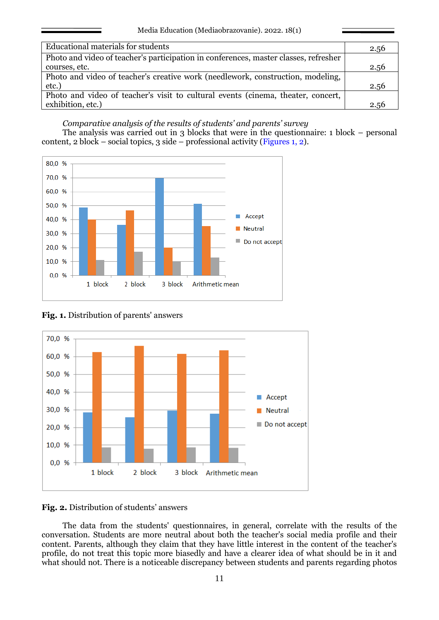| <b>Educational materials for students</b>                                            | 2.56 |
|--------------------------------------------------------------------------------------|------|
|                                                                                      |      |
| Photo and video of teacher's participation in conferences, master classes, refresher |      |
| courses, etc.                                                                        | 2.56 |
| Photo and video of teacher's creative work (needlework, construction, modeling,      |      |
| etc.)                                                                                | 2.56 |
| Photo and video of teacher's visit to cultural events (cinema, theater, concert,     |      |
| exhibition, etc.)                                                                    | 2.56 |

### *Comparative analysis of the results of students' and parents' survey*

The analysis was carried out in 3 blocks that were in the questionnaire: 1 block – personal content, 2 block – social topics, 3 side – professional activity (Figures 1, 2).



**Fig. 1.** Distribution of parents' answers



**Fig. 2.** Distribution of students' answers

The data from the students' questionnaires, in general, correlate with the results of the conversation. Students are more neutral about both the teacher's social media profile and their content. Parents, although they claim that they have little interest in the content of the teacher's profile, do not treat this topic more biasedly and have a clearer idea of what should be in it and what should not. There is a noticeable discrepancy between students and parents regarding photos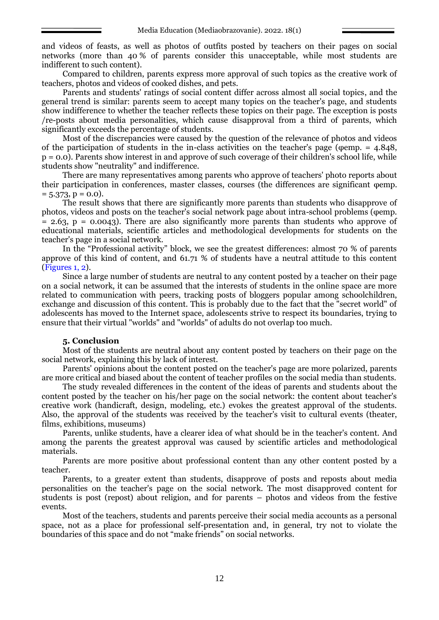and videos of feasts, as well as photos of outfits posted by teachers on their pages on social networks (more than 40 % of parents consider this unacceptable, while most students are indifferent to such content).

Compared to children, parents express more approval of such topics as the creative work of teachers, photos and videos of cooked dishes, and pets.

Parents and students' ratings of social content differ across almost all social topics, and the general trend is similar: parents seem to accept many topics on the teacher's page, and students show indifference to whether the teacher reflects these topics on their page. The exception is posts /re-posts about media personalities, which cause disapproval from a third of parents, which significantly exceeds the percentage of students.

Most of the discrepancies were caused by the question of the relevance of photos and videos of the participation of students in the in-class activities on the teacher's page (φemp. = 4.848, p = 0.0). Parents show interest in and approve of such coverage of their children's school life, while students show "neutrality" and indifference.

There are many representatives among parents who approve of teachers' photo reports about their participation in conferences, master classes, courses (the differences are significant φemp.  $= 5.373, p = 0.0$ .

The result shows that there are significantly more parents than students who disapprove of photos, videos and posts on the teacher's social network page about intra-school problems (φemp.  $= 2.63$ ,  $p = 0.0043$ ). There are also significantly more parents than students who approve of educational materials, scientific articles and methodological developments for students on the teacher's page in a social network.

In the "Professional activity" block, we see the greatest differences: almost 70 % of parents approve of this kind of content, and 61.71 % of students have a neutral attitude to this content (Figures 1, 2).

Since a large number of students are neutral to any content posted by a teacher on their page on a social network, it can be assumed that the interests of students in the online space are more related to communication with peers, tracking posts of bloggers popular among schoolchildren, exchange and discussion of this content. This is probably due to the fact that the "secret world" of adolescents has moved to the Internet space, adolescents strive to respect its boundaries, trying to ensure that their virtual "worlds" and "worlds" of adults do not overlap too much.

## **5. Conclusion**

Most of the students are neutral about any content posted by teachers on their page on the social network, explaining this by lack of interest.

Parents' opinions about the content posted on the teacher's page are more polarized, parents are more critical and biased about the content of teacher profiles on the social media than students.

The study revealed differences in the content of the ideas of parents and students about the content posted by the teacher on his/her page on the social network: the content about teacher's creative work (handicraft, design, modeling, etc.) evokes the greatest approval of the students. Also, the approval of the students was received by the teacher's visit to cultural events (theater, films, exhibitions, museums)

Parents, unlike students, have a clearer idea of what should be in the teacher's content. And among the parents the greatest approval was caused by scientific articles and methodological materials.

Parents are more positive about professional content than any other content posted by a teacher.

Parents, to a greater extent than students, disapprove of posts and reposts about media personalities on the teacher's page on the social network. The most disapproved content for students is post (repost) about religion, and for parents – photos and videos from the festive events.

Most of the teachers, students and parents perceive their social media accounts as a personal space, not as a place for professional self-presentation and, in general, try not to violate the boundaries of this space and do not "make friends" on social networks.